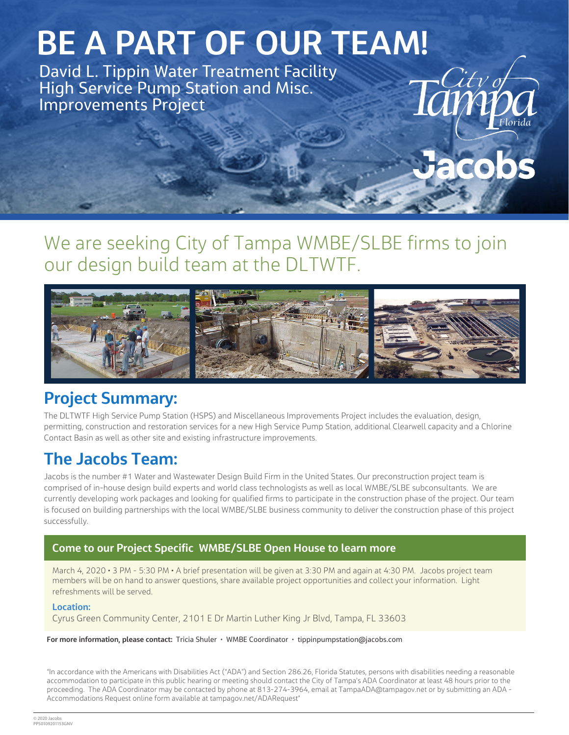# **BE A PART OF OUR TEAM!**

David L. Tippin Water Treatment Facility High Service Pump Station and Misc. Improvements Project

## We are seeking City of Tampa WMBE/SLBE firms to join our design build team at the DLTWTF.

 $\cdot$ City of



#### **Project Summary:**

The DLTWTF High Service Pump Station (HSPS) and Miscellaneous Improvements Project includes the evaluation, design, permitting, construction and restoration services for a new High Service Pump Station, additional Clearwell capacity and a Chlorine Contact Basin as well as other site and existing infrastructure improvements.

### **The Jacobs Team:**

Jacobs is the number #1 Water and Wastewater Design Build Firm in the United States. Our preconstruction project team is comprised of in-house design build experts and world class technologists as well as local WMBE/SLBE subconsultants. We are currently developing work packages and looking for qualified firms to participate in the construction phase of the project. Our team is focused on building partnerships with the local WMBE/SLBE business community to deliver the construction phase of this project successfully.

#### **Come to our Project Specific WMBE/SLBE Open House to learn more**

March 4, 2020 • 3 PM - 5:30 PM • A brief presentation will be given at 3:30 PM and again at 4:30 PM. Jacobs project team members will be on hand to answer questions, share available project opportunities and collect your information. Light refreshments will be served.

#### **Location:**

Cyrus Green Community Center, 2101 E Dr Martin Luther King Jr Blvd, Tampa, FL 33603

**For more information, please contact:** Tricia Shuler • WMBE Coordinator • tippinpumpstation@jacobs.com

"In accordance with the Americans with Disabilities Act ("ADA") and Section 286.26, Florida Statutes, persons with disabilities needing a reasonable accommodation to participate in this public hearing or meeting should contact the City of Tampa's ADA Coordinator at least 48 hours prior to the proceeding. The ADA Coordinator may be contacted by phone at 813-274-3964, email at TampaADA@tampagov.net or by submitting an ADA - Accommodations Request online form available at tampagov.net/ADARequest"